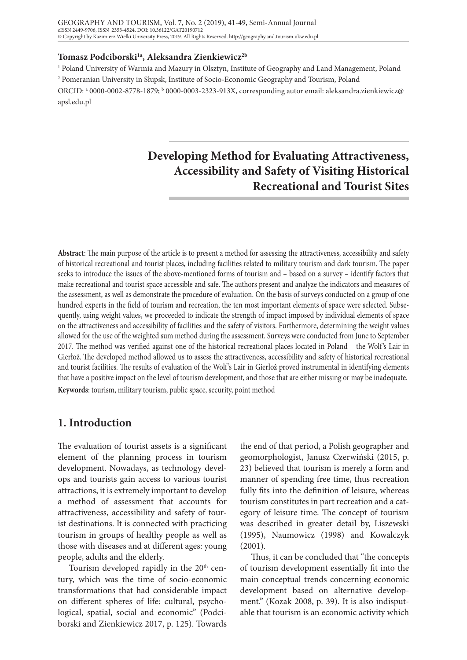#### Tomasz Podciborski<sup>1a</sup>, Aleksandra Zienkiewicz<sup>2b</sup>

1 Poland University of Warmia and Mazury in Olsztyn, Institute of Geography and Land Management, Poland 2 Pomeranian University in Słupsk, Institute of Socio-Economic Geography and Tourism, Poland ORCID: ª 0000-0002-8778-1879; <sup>b</sup> 0000-0003-2323-913X, corresponding autor email: aleksandra.zienkiewicz@ apsl.edu.pl

# **Developing Method for Evaluating Attractiveness, Accessibility and Safety of Visiting Historical Recreational and Tourist Sites**

**Abstract**: The main purpose of the article is to present a method for assessing the attractiveness, accessibility and safety of historical recreational and tourist places, including facilities related to military tourism and dark tourism. The paper seeks to introduce the issues of the above-mentioned forms of tourism and – based on a survey – identify factors that make recreational and tourist space accessible and safe. The authors present and analyze the indicators and measures of the assessment, as well as demonstrate the procedure of evaluation. On the basis of surveys conducted on a group of one hundred experts in the field of tourism and recreation, the ten most important elements of space were selected. Subsequently, using weight values, we proceeded to indicate the strength of impact imposed by individual elements of space on the attractiveness and accessibility of facilities and the safety of visitors. Furthermore, determining the weight values allowed for the use of the weighted sum method during the assessment. Surveys were conducted from June to September 2017. The method was verified against one of the historical recreational places located in Poland – the Wolf 's Lair in Gierłoż. The developed method allowed us to assess the attractiveness, accessibility and safety of historical recreational and tourist facilities. The results of evaluation of the Wolf's Lair in Gierłoż proved instrumental in identifying elements that have a positive impact on the level of tourism development, and those that are either missing or may be inadequate. **Keywords**: tourism, military tourism, public space, security, point method

## **1. Introduction**

The evaluation of tourist assets is a significant element of the planning process in tourism development. Nowadays, as technology develops and tourists gain access to various tourist attractions, it is extremely important to develop a method of assessment that accounts for attractiveness, accessibility and safety of tourist destinations. It is connected with practicing tourism in groups of healthy people as well as those with diseases and at different ages: young people, adults and the elderly.

Tourism developed rapidly in the 20<sup>th</sup> century, which was the time of socio-economic transformations that had considerable impact on different spheres of life: cultural, psychological, spatial, social and economic" (Podciborski and Zienkiewicz 2017, p. 125). Towards

the end of that period, a Polish geographer and geomorphologist, Janusz Czerwiński (2015, p. 23) believed that tourism is merely a form and manner of spending free time, thus recreation fully fits into the definition of leisure, whereas tourism constitutes in part recreation and a category of leisure time. The concept of tourism was described in greater detail by, Liszewski (1995), Naumowicz (1998) and Kowalczyk (2001).

Thus, it can be concluded that "the concepts of tourism development essentially fit into the main conceptual trends concerning economic development based on alternative development." (Kozak 2008, p. 39). It is also indisputable that tourism is an economic activity which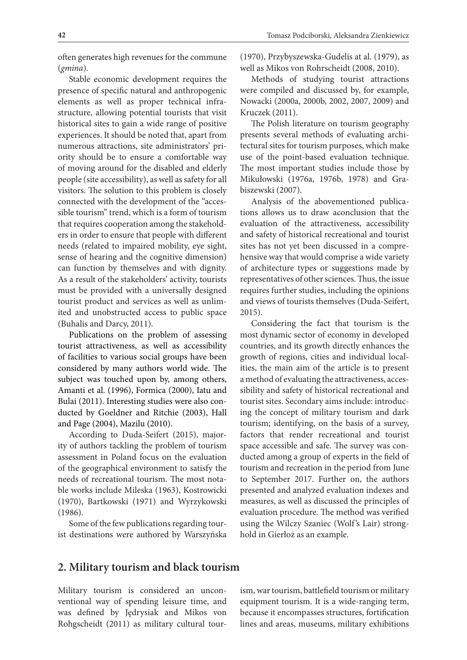often generates high revenues for the commune (*gmina*).

Stable economic development requires the presence of specific natural and anthropogenic elements as well as proper technical infrastructure, allowing potential tourists that visit historical sites to gain a wide range of positive experiences. It should be noted that, apart from numerous attractions, site administrators' priority should be to ensure a comfortable way of moving around for the disabled and elderly people (site accessibility), as well as safety for all visitors. The solution to this problem is closely connected with the development of the "accessible tourism" trend, which is a form of tourism that requires cooperation among the stakeholders in order to ensure that people with different needs (related to impaired mobility, eye sight, sense of hearing and the cognitive dimension) can function by themselves and with dignity. As a result of the stakeholders' activity, tourists must be provided with a universally designed tourist product and services as well as unlimited and unobstructed access to public space (Buhalis and Darcy, 2011).

Publications on the problem of assessing tourist attractiveness, as well as accessibility of facilities to various social groups have been considered by many authors world wide. The subject was touched upon by, among others, Amanti et al. (1996), Formica (2000), Iatu and Bulai (2011). Interesting studies were also conducted by Goeldner and Ritchie (2003), Hall and Page (2004), Mazilu (2010).

According to Duda-Seifert (2015), majority of authors tackling the problem of tourism assessment in Poland focus on the evaluation of the geographical environment to satisfy the needs of recreational tourism. The most notable works include Mileska (1963), Kostrowicki (1970), Bartkowski (1971) and Wyrzykowski (1986).

Some of the few publications regarding tourist destinations were authored by Warszyńska

(1970), Przybyszewska-Gudelis at al. (1979), as well as Mikos von Rohrscheidt (2008, 2010).

Methods of studying tourist attractions were compiled and discussed by, for example, Nowacki (2000a, 2000b, 2002, 2007, 2009) and Kruczek (2011).

The Polish literature on tourism geography presents several methods of evaluating architectural sites for tourism purposes, which make use of the point-based evaluation technique. The most important studies include those by Mikułowski (1976a, 1976b, 1978) and Grabiszewski (2007).

Analysis of the abovementioned publications allows us to draw aconclusion that the evaluation of the attractiveness, accessibility and safety of historical recreational and tourist sites has not yet been discussed in a comprehensive way that would comprise a wide variety of architecture types or suggestions made by representatives of other sciences. Thus, the issue requires further studies, including the opinions and views of tourists themselves (Duda-Seifert, 2015).

Considering the fact that tourism is the most dynamic sector of economy in developed countries, and its growth directly enhances the growth of regions, cities and individual localities, the main aim of the article is to present a method of evaluating the attractiveness, accessibility and safety of historical recreational and tourist sites. Secondary aims include: introducing the concept of military tourism and dark tourism; identifying, on the basis of a survey, factors that render recreational and tourist space accessible and safe. The survey was conducted among a group of experts in the field of tourism and recreation in the period from June to September 2017. Further on, the authors presented and analyzed evaluation indexes and measures, as well as discussed the principles of evaluation procedure. The method was verified using the Wilczy Szaniec (Wolf 's Lair) stronghold in Gierłoż as an example.

#### **2. Military tourism and black tourism**

Military tourism is considered an unconventional way of spending leisure time, and was defined by Jędrysiak and Mikos von Rohgscheidt (2011) as military cultural tour-

ism, war tourism, battlefield tourism or military equipment tourism. It is a wide-ranging term, because it encompasses structures, fortification lines and areas, museums, military exhibitions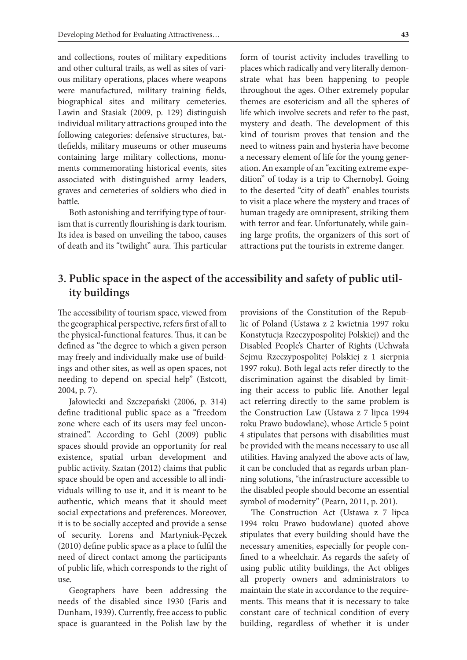and collections, routes of military expeditions and other cultural trails, as well as sites of various military operations, places where weapons were manufactured, military training fields, biographical sites and military cemeteries. Lawin and Stasiak (2009, p. 129) distinguish individual military attractions grouped into the following categories: defensive structures, battlefields, military museums or other museums containing large military collections, monuments commemorating historical events, sites associated with distinguished army leaders, graves and cemeteries of soldiers who died in battle.

Both astonishing and terrifying type of tourism that is currently flourishing is dark tourism. Its idea is based on unveiling the taboo, causes of death and its "twilight" aura. This particular form of tourist activity includes travelling to places which radically and very literally demonstrate what has been happening to people throughout the ages. Other extremely popular themes are esotericism and all the spheres of life which involve secrets and refer to the past, mystery and death. The development of this kind of tourism proves that tension and the need to witness pain and hysteria have become a necessary element of life for the young generation. An example of an "exciting extreme expedition" of today is a trip to Chernobyl. Going to the deserted "city of death" enables tourists to visit a place where the mystery and traces of human tragedy are omnipresent, striking them with terror and fear. Unfortunately, while gaining large profits, the organizers of this sort of attractions put the tourists in extreme danger.

# **3. Public space in the aspect of the accessibility and safety of public utility buildings**

The accessibility of tourism space, viewed from the geographical perspective, refers first of all to the physical-functional features. Thus, it can be defined as "the degree to which a given person may freely and individually make use of buildings and other sites, as well as open spaces, not needing to depend on special help" (Estcott, 2004, p. 7).

Jałowiecki and Szczepański (2006, p. 314) define traditional public space as a "freedom zone where each of its users may feel unconstrained". According to Gehl (2009) public spaces should provide an opportunity for real existence, spatial urban development and public activity. Szatan (2012) claims that public space should be open and accessible to all individuals willing to use it, and it is meant to be authentic, which means that it should meet social expectations and preferences. Moreover, it is to be socially accepted and provide a sense of security. Lorens and Martyniuk-Pęczek (2010) define public space as a place to fulfil the need of direct contact among the participants of public life, which corresponds to the right of use.

Geographers have been addressing the needs of the disabled since 1930 (Faris and Dunham, 1939). Currently, free access to public space is guaranteed in the Polish law by the provisions of the Constitution of the Republic of Poland (Ustawa z 2 kwietnia 1997 roku Konstytucja Rzeczypospolitej Polskiej) and the Disabled People's Charter of Rights (Uchwała Sejmu Rzeczypospolitej Polskiej z 1 sierpnia 1997 roku). Both legal acts refer directly to the discrimination against the disabled by limiting their access to public life. Another legal act referring directly to the same problem is the Construction Law (Ustawa z 7 lipca 1994 roku Prawo budowlane), whose Article 5 point 4 stipulates that persons with disabilities must be provided with the means necessary to use all utilities. Having analyzed the above acts of law, it can be concluded that as regards urban planning solutions, "the infrastructure accessible to the disabled people should become an essential symbol of modernity" (Pearn, 2011, p. 201).

The Construction Act (Ustawa z 7 lipca 1994 roku Prawo budowlane) quoted above stipulates that every building should have the necessary amenities, especially for people confined to a wheelchair. As regards the safety of using public utility buildings, the Act obliges all property owners and administrators to maintain the state in accordance to the requirements. This means that it is necessary to take constant care of technical condition of every building, regardless of whether it is under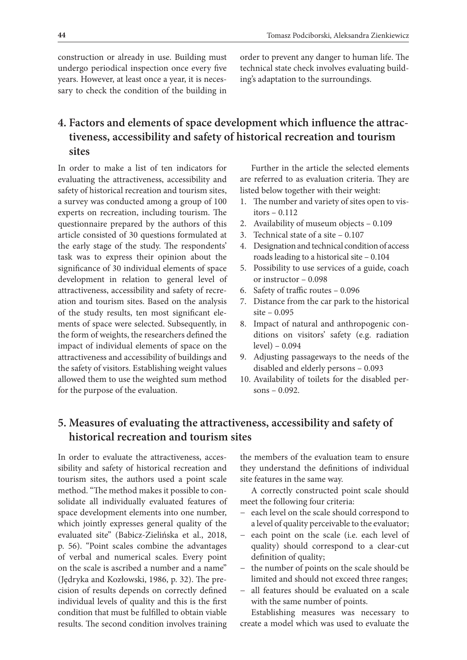construction or already in use. Building must undergo periodical inspection once every five years. However, at least once a year, it is necessary to check the condition of the building in order to prevent any danger to human life. The technical state check involves evaluating building's adaptation to the surroundings.

# **4. Factors and elements of space development which influence the attractiveness, accessibility and safety of historical recreation and tourism sites**

In order to make a list of ten indicators for evaluating the attractiveness, accessibility and safety of historical recreation and tourism sites, a survey was conducted among a group of 100 experts on recreation, including tourism. The questionnaire prepared by the authors of this article consisted of 30 questions formulated at the early stage of the study. The respondents' task was to express their opinion about the significance of 30 individual elements of space development in relation to general level of attractiveness, accessibility and safety of recreation and tourism sites. Based on the analysis of the study results, ten most significant elements of space were selected. Subsequently, in the form of weights, the researchers defined the impact of individual elements of space on the attractiveness and accessibility of buildings and the safety of visitors. Establishing weight values allowed them to use the weighted sum method for the purpose of the evaluation.

Further in the article the selected elements are referred to as evaluation criteria. They are listed below together with their weight:

- 1. The number and variety of sites open to visitors – 0.112
- 2. Availability of museum objects 0.109
- 3. Technical state of a site 0.107
- 4. Designation and technical condition of access roads leading to a historical site – 0.104
- 5. Possibility to use services of a guide, coach or instructor – 0.098
- 6. Safety of traffic routes 0.096
- 7. Distance from the car park to the historical site – 0.095
- 8. Impact of natural and anthropogenic conditions on visitors' safety (e.g. radiation level) – 0.094
- 9. Adjusting passageways to the needs of the disabled and elderly persons – 0.093
- 10. Availability of toilets for the disabled persons – 0.092.

# **5. Measures of evaluating the attractiveness, accessibility and safety of historical recreation and tourism sites**

In order to evaluate the attractiveness, accessibility and safety of historical recreation and tourism sites, the authors used a point scale method. "The method makes it possible to consolidate all individually evaluated features of space development elements into one number, which jointly expresses general quality of the evaluated site" (Babicz-Zielińska et al., 2018, p. 56). "Point scales combine the advantages of verbal and numerical scales. Every point on the scale is ascribed a number and a name" (Jędryka and Kozłowski, 1986, p. 32). The precision of results depends on correctly defined individual levels of quality and this is the first condition that must be fulfilled to obtain viable results. The second condition involves training the members of the evaluation team to ensure they understand the definitions of individual site features in the same way.

A correctly constructed point scale should meet the following four criteria:

- − each level on the scale should correspond to a level of quality perceivable to the evaluator;
- − each point on the scale (i.e. each level of quality) should correspond to a clear-cut definition of quality;
- − the number of points on the scale should be limited and should not exceed three ranges;
- − all features should be evaluated on a scale with the same number of points.

Establishing measures was necessary to create a model which was used to evaluate the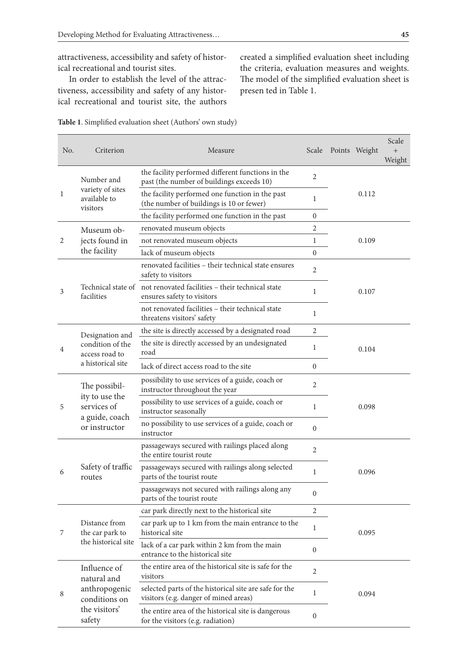attractiveness, accessibility and safety of historical recreational and tourist sites.

In order to establish the level of the attractiveness, accessibility and safety of any historical recreational and tourist site, the authors created a simplified evaluation sheet including the criteria, evaluation measures and weights. The model of the simplified evaluation sheet is presen ted in Table 1.

| No. | Criterion                                                                                | Measure                                                                                           |                  | Scale Points Weight | Scale<br>$+$<br>Weight |
|-----|------------------------------------------------------------------------------------------|---------------------------------------------------------------------------------------------------|------------------|---------------------|------------------------|
| 1   | Number and<br>variety of sites<br>available to<br>visitors                               | the facility performed different functions in the<br>past (the number of buildings exceeds 10)    | 2                |                     |                        |
|     |                                                                                          | the facility performed one function in the past<br>(the number of buildings is 10 or fewer)       | 1                | 0.112               |                        |
|     |                                                                                          | the facility performed one function in the past                                                   | $\mathbf{0}$     |                     |                        |
| 2   | Museum ob-<br>jects found in<br>the facility                                             | renovated museum objects                                                                          | 2                |                     |                        |
|     |                                                                                          | not renovated museum objects                                                                      | 1                | 0.109               |                        |
|     |                                                                                          | lack of museum objects                                                                            | $\mathbf{0}$     |                     |                        |
| 3   | facilities                                                                               | renovated facilities - their technical state ensures<br>safety to visitors                        | $\overline{2}$   |                     |                        |
|     |                                                                                          | Technical state of not renovated facilities - their technical state<br>ensures safety to visitors | $\mathbf{1}$     | 0.107               |                        |
|     |                                                                                          | not renovated facilities - their technical state<br>threatens visitors' safety                    | 1                |                     |                        |
|     | Designation and                                                                          | the site is directly accessed by a designated road                                                | $\overline{2}$   |                     |                        |
| 4   | condition of the<br>access road to<br>a historical site                                  | the site is directly accessed by an undesignated<br>road                                          | 1                | 0.104               |                        |
|     |                                                                                          | lack of direct access road to the site                                                            | $\mathbf{0}$     |                     |                        |
| 5   | The possibil-<br>ity to use the<br>services of<br>a guide, coach<br>or instructor        | possibility to use services of a guide, coach or<br>instructor throughout the year                | 2                |                     |                        |
|     |                                                                                          | possibility to use services of a guide, coach or<br>instructor seasonally                         | 1                | 0.098               |                        |
|     |                                                                                          | no possibility to use services of a guide, coach or<br>instructor                                 | $\mathbf{0}$     |                     |                        |
| 6   | Safety of traffic<br>routes                                                              | passageways secured with railings placed along<br>the entire tourist route                        | 2                |                     |                        |
|     |                                                                                          | passageways secured with railings along selected<br>parts of the tourist route                    | 1                | 0.096               |                        |
|     |                                                                                          | passageways not secured with railings along any<br>parts of the tourist route                     | $\mathbf{0}$     |                     |                        |
| 7   | Distance from<br>the car park to<br>the historical site                                  | car park directly next to the historical site                                                     | $\overline{2}$   |                     |                        |
|     |                                                                                          | car park up to 1 km from the main entrance to the<br>historical site                              | 1                | 0.095               |                        |
|     |                                                                                          | lack of a car park within 2 km from the main<br>entrance to the historical site                   | $\boldsymbol{0}$ |                     |                        |
| 8   | Influence of<br>natural and<br>anthropogenic<br>conditions on<br>the visitors'<br>safety | the entire area of the historical site is safe for the<br>visitors                                | $\overline{2}$   |                     |                        |
|     |                                                                                          | selected parts of the historical site are safe for the<br>visitors (e.g. danger of mined areas)   | 1                | 0.094               |                        |
|     |                                                                                          | the entire area of the historical site is dangerous<br>for the visitors (e.g. radiation)          | $\boldsymbol{0}$ |                     |                        |

| Table 1. Simplified evaluation sheet (Authors' own study) |  |  |  |  |  |
|-----------------------------------------------------------|--|--|--|--|--|
|-----------------------------------------------------------|--|--|--|--|--|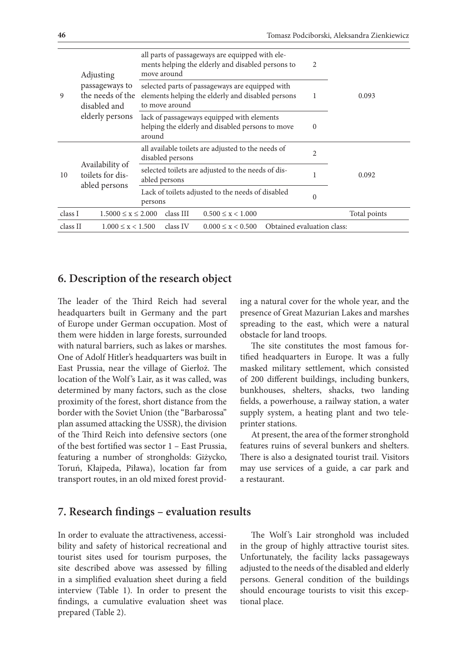| 9        | Adjusting<br>passageways to<br>the needs of the<br>disabled and<br>elderly persons | all parts of passageways are equipped with ele-<br>ments helping the elderly and disabled persons to<br>2<br>move around    |              |  |
|----------|------------------------------------------------------------------------------------|-----------------------------------------------------------------------------------------------------------------------------|--------------|--|
|          |                                                                                    | selected parts of passageways are equipped with<br>elements helping the elderly and disabled persons<br>1<br>to move around | 0.093        |  |
|          |                                                                                    | lack of passageways equipped with elements<br>helping the elderly and disabled persons to move<br>$\Omega$<br>around        |              |  |
| 10       | Availability of<br>toilets for dis-<br>abled persons                               | all available toilets are adjusted to the needs of<br>$\overline{2}$<br>disabled persons                                    |              |  |
|          |                                                                                    | selected toilets are adjusted to the needs of dis-<br>abled persons                                                         | 0.092        |  |
|          |                                                                                    | Lack of toilets adjusted to the needs of disabled<br>$\Omega$<br>persons                                                    |              |  |
| class I  | $1.5000 \le x \le 2.000$                                                           | class III<br>$0.500 \leq x \leq 1.000$                                                                                      | Total points |  |
| class II | $1.000 \leq x \leq 1.500$                                                          | Obtained evaluation class:<br>class IV<br>$0.000 \leq x \leq 0.500$                                                         |              |  |

## **6. Description of the research object**

The leader of the Third Reich had several headquarters built in Germany and the part of Europe under German occupation. Most of them were hidden in large forests, surrounded with natural barriers, such as lakes or marshes. One of Adolf Hitler's headquarters was built in East Prussia, near the village of Gierłoż. The location of the Wolf 's Lair, as it was called, was determined by many factors, such as the close proximity of the forest, short distance from the border with the Soviet Union (the "Barbarossa" plan assumed attacking the USSR), the division of the Third Reich into defensive sectors (one of the best fortified was sector 1 – East Prussia, featuring a number of strongholds: Giżycko, Toruń, Kłajpeda, Piława), location far from transport routes, in an old mixed forest provid-

ing a natural cover for the whole year, and the presence of Great Mazurian Lakes and marshes spreading to the east, which were a natural obstacle for land troops.

The site constitutes the most famous fortified headquarters in Europe. It was a fully masked military settlement, which consisted of 200 different buildings, including bunkers, bunkhouses, shelters, shacks, two landing fields, a powerhouse, a railway station, a water supply system, a heating plant and two teleprinter stations.

At present, the area of the former stronghold features ruins of several bunkers and shelters. There is also a designated tourist trail. Visitors may use services of a guide, a car park and a restaurant.

### **7. Research findings – evaluation results**

In order to evaluate the attractiveness, accessibility and safety of historical recreational and tourist sites used for tourism purposes, the site described above was assessed by filling in a simplified evaluation sheet during a field interview (Table 1). In order to present the findings, a cumulative evaluation sheet was prepared (Table 2).

The Wolf's Lair stronghold was included in the group of highly attractive tourist sites. Unfortunately, the facility lacks passageways adjusted to the needs of the disabled and elderly persons. General condition of the buildings should encourage tourists to visit this exceptional place.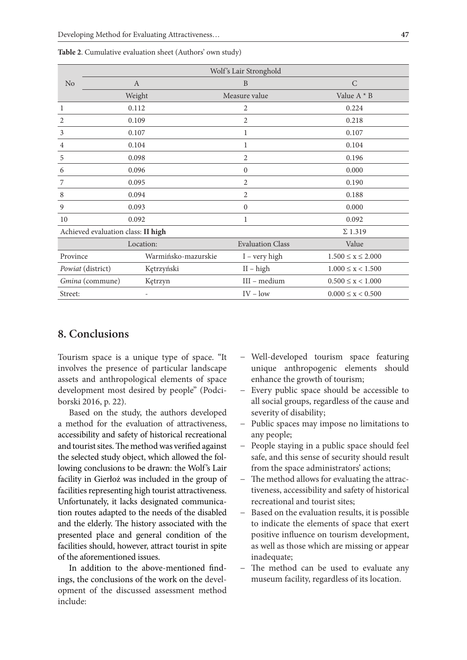|                                    | Wolf's Lair Stronghold |                         |                           |  |
|------------------------------------|------------------------|-------------------------|---------------------------|--|
| N <sub>o</sub>                     | $\mathbf{A}$           | B                       | $\mathcal{C}$             |  |
|                                    | Weight                 | Measure value           | Value $A * B$             |  |
| 1                                  | 0.112                  | 2                       | 0.224                     |  |
| 2                                  | 0.109                  | $\overline{2}$          | 0.218                     |  |
| 3                                  | 0.107                  | 1                       | 0.107                     |  |
| 4                                  | 0.104                  | 1                       | 0.104                     |  |
| 5                                  | 0.098                  | $\overline{c}$          | 0.196                     |  |
| 6                                  | 0.096                  | $\boldsymbol{0}$        | 0.000                     |  |
| 7                                  | 0.095                  | 2                       | 0.190                     |  |
| 8                                  | 0.094                  | 2                       | 0.188                     |  |
| 9                                  | 0.093                  | $\boldsymbol{0}$        | 0.000                     |  |
| 10                                 | 0.092                  | 1                       | 0.092                     |  |
| Achieved evaluation class: II high |                        |                         | $\Sigma$ 1.319            |  |
|                                    | Location:              | <b>Evaluation Class</b> | Value                     |  |
| Province                           | Warmińsko-mazurskie    | $I - very high$         | $1.500 \le x \le 2.000$   |  |
| Powiat (district)                  | Kętrzyński             | $II - high$             | $1.000 \leq x < 1.500$    |  |
| Gmina (commune)                    | Kętrzyn                | III - medium            | $0.500 \leq x < 1.000$    |  |
| Street:                            |                        | $IV - low$              | $0.000 \leq x \leq 0.500$ |  |

**Table 2**. Cumulative evaluation sheet (Authors' own study)

# **8. Conclusions**

Tourism space is a unique type of space. "It involves the presence of particular landscape assets and anthropological elements of space development most desired by people" (Podciborski 2016, p. 22).

Based on the study, the authors developed a method for the evaluation of attractiveness, accessibility and safety of historical recreational and tourist sites. The method was verified against the selected study object, which allowed the following conclusions to be drawn: the Wolf's Lair facility in Gierłoż was included in the group of facilities representing high tourist attractiveness. Unfortunately, it lacks designated communication routes adapted to the needs of the disabled and the elderly. The history associated with the presented place and general condition of the facilities should, however, attract tourist in spite of the aforementioned issues.

In addition to the above-mentioned findings, the conclusions of the work on the development of the discussed assessment method include:

- − Well-developed tourism space featuring unique anthropogenic elements should enhance the growth of tourism;
- − Every public space should be accessible to all social groups, regardless of the cause and severity of disability;
- − Public spaces may impose no limitations to any people;
- − People staying in a public space should feel safe, and this sense of security should result from the space administrators' actions;
- − The method allows for evaluating the attractiveness, accessibility and safety of historical recreational and tourist sites;
- − Based on the evaluation results, it is possible to indicate the elements of space that exert positive influence on tourism development, as well as those which are missing or appear inadequate;
- − The method can be used to evaluate any museum facility, regardless of its location.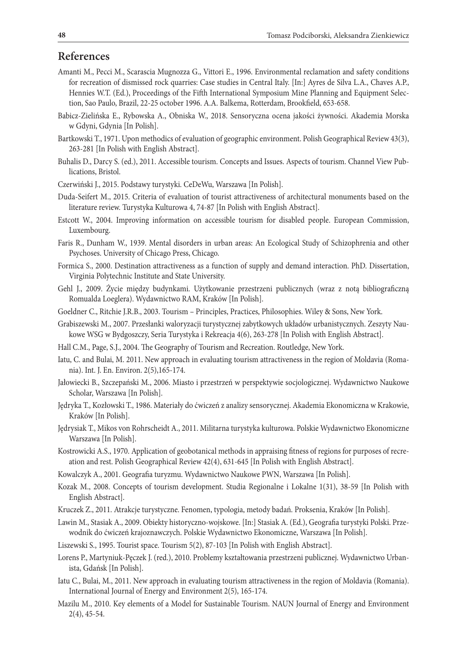# **References**

- Amanti M., Pecci M., Scarascia Mugnozza G., Vittori E., 1996. Environmental reclamation and safety conditions for recreation of dismissed rock quarries: Case studies in Central Italy. [In:] Ayres de Silva L.A., Chaves A.P., Hennies W.T. (Ed.), Proceedings of the Fifth International Symposium Mine Planning and Equipment Selection, Sao Paulo, Brazil, 22-25 october 1996. A.A. Balkema, Rotterdam, Brookfield, 653-658.
- Babicz-Zielińska E., Rybowska A., Obniska W., 2018. Sensoryczna ocena jakości żywności. Akademia Morska w Gdyni, Gdynia [In Polish].
- Bartkowski T., 1971. Upon methodics of evaluation of geographic environment. Polish Geographical Review 43(3), 263-281 [In Polish with English Abstract].
- Buhalis D., Darcy S. (ed.), 2011. Accessible tourism. Concepts and Issues. Aspects of tourism. Channel View Publications, Bristol.
- Czerwiński J., 2015. Podstawy turystyki. CeDeWu, Warszawa [In Polish].
- Duda-Seifert M., 2015. Criteria of evaluation of tourist attractiveness of architectural monuments based on the literature review. Turystyka Kulturowa 4, 74-87 [In Polish with English Abstract].
- Estcott W., 2004. Improving information on accessible tourism for disabled people. European Commission, Luxembourg.
- Faris R., Dunham W., 1939. Mental disorders in urban areas: An Ecological Study of Schizophrenia and other Psychoses. University of Chicago Press, Chicago.
- Formica S., 2000. Destination attractiveness as a function of supply and demand interaction. PhD. Dissertation, Virginia Polytechnic Institute and State University.
- Gehl J., 2009. Życie między budynkami. Użytkowanie przestrzeni publicznych (wraz z notą bibliograficzną Romualda Loeglera). Wydawnictwo RAM, Kraków [In Polish].
- Goeldner C., Ritchie J.R.B., 2003. Tourism Principles, Practices, Philosophies. Wiley & Sons, New York.
- Grabiszewski M., 2007. Przesłanki waloryzacji turystycznej zabytkowych układów urbanistycznych. Zeszyty Naukowe WSG w Bydgoszczy, Seria Turystyka i Rekreacja 4(6), 263-278 [In Polish with English Abstract].
- Hall C.M., Page, S.J., 2004. The Geography of Tourism and Recreation. Routledge, New York.
- Iatu, C. and Bulai, M. 2011. New approach in evaluating tourism attractiveness in the region of Moldavia (Romania). Int. J. En. Environ. 2(5),165-174.
- Jałowiecki B., Szczepański M., 2006. Miasto i przestrzeń w perspektywie socjologicznej. Wydawnictwo Naukowe Scholar, Warszawa [In Polish].
- Jędryka T., Kozłowski T., 1986. Materiały do ćwiczeń z analizy sensorycznej. Akademia Ekonomiczna w Krakowie, Kraków [In Polish].
- Jędrysiak T., Mikos von Rohrscheidt A., 2011. Militarna turystyka kulturowa. Polskie Wydawnictwo Ekonomiczne Warszawa [In Polish].
- Kostrowicki A.S., 1970. Application of geobotanical methods in appraising fitness of regions for purposes of recreation and rest. Polish Geographical Review 42(4), 631-645 [In Polish with English Abstract].
- Kowalczyk A., 2001. Geografia turyzmu. Wydawnictwo Naukowe PWN, Warszawa [In Polish].
- Kozak M., 2008. Concepts of tourism development. Studia Regionalne i Lokalne 1(31), 38-59 [In Polish with English Abstract].
- Kruczek Z., 2011. Atrakcje turystyczne. Fenomen, typologia, metody badań. Proksenia, Kraków [In Polish].
- Lawin M., Stasiak A., 2009. Obiekty historyczno-wojskowe. [In:] Stasiak A. (Ed.), Geografia turystyki Polski. Przewodnik do ćwiczeń krajoznawczych. Polskie Wydawnictwo Ekonomiczne, Warszawa [In Polish].
- Liszewski S., 1995. Tourist space. Tourism 5(2), 87-103 [In Polish with English Abstract].
- Lorens P., Martyniuk-Pęczek J. (red.), 2010. Problemy kształtowania przestrzeni publicznej. Wydawnictwo Urbanista, Gdańsk [In Polish].
- Iatu C., Bulai, M., 2011. New approach in evaluating tourism attractiveness in the region of Moldavia (Romania). International Journal of Energy and Environment 2(5), 165-174.
- Mazilu M., 2010. Key elements of a Model for Sustainable Tourism. NAUN Journal of Energy and Environment 2(4), 45-54.